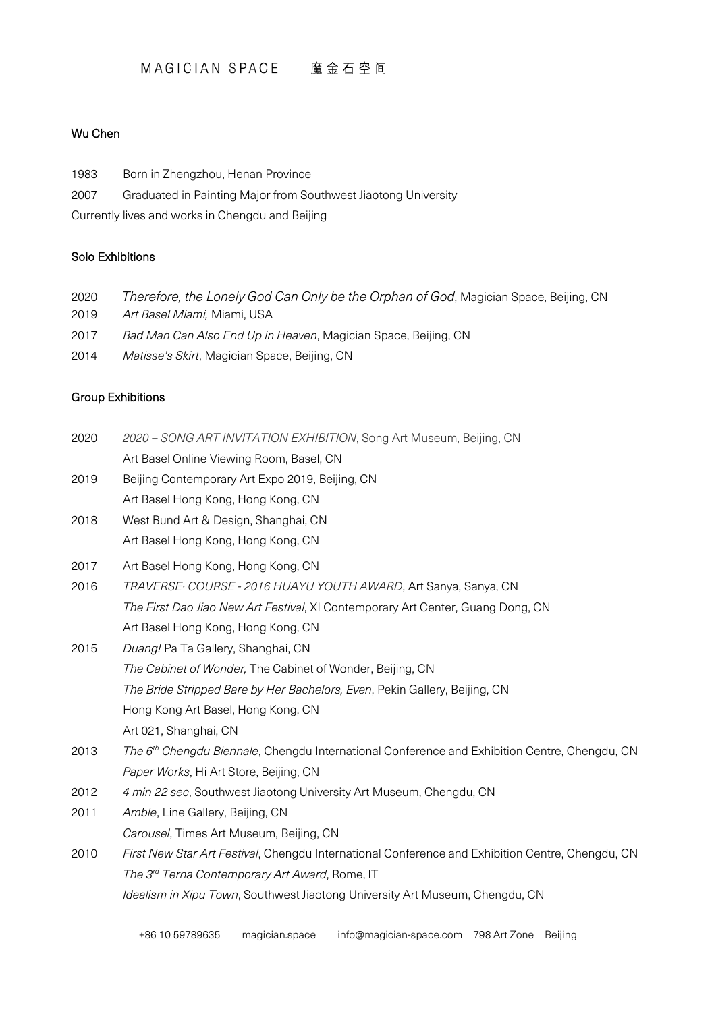#### MAGICIAN SPACE 魔金石空间

## Wu Chen

1983 Born in Zhengzhou, Henan Province 2007 Graduated in Painting Major from Southwest Jiaotong University Currently lives and works in Chengdu and Beijing

# Solo Exhibitions

- 2020 *Therefore, the Lonely God Can Only be the Orphan of God*, Magician Space, Beijing, CN
- 2019 *Art Basel Miami,* Miami, USA
- 2017 *Bad Man Can Also End Up in Heaven*, Magician Space, Beijing, CN
- 2014 *Matisse's Skirt*, Magician Space, Beijing, CN

# Group Exhibitions

+86 10 59789635 [magician.space](mailto:magician.space) [info@magician-space.com](mailto:info@magician-space.com) 798 Art Zone Beijing 2020 *2020 – SONG ART INVITATION EXHIBITION*, Song Art Museum, Beijing, CN Art Basel Online Viewing Room, Basel, CN 2019 Beijing Contemporary Art Expo 2019, Beijing, CN Art Basel Hong Kong, Hong Kong, CN 2018 West Bund Art & Design, Shanghai, CN Art Basel Hong Kong, Hong Kong, CN 2017 Art Basel Hong Kong, Hong Kong, CN 2016 *TRAVERSE· COURSE - 2016 HUAYU YOUTH AWARD*, Art Sanya, Sanya, CN *The First Dao Jiao New Art Festival*, XI Contemporary Art Center, Guang Dong, CN Art Basel Hong Kong, Hong Kong, CN 2015 *Duang!* Pa Ta Gallery, Shanghai, CN *The Cabinet of Wonder,* The Cabinet of Wonder, Beijing, CN *The Bride Stripped Bare by Her Bachelors, Even*, Pekin Gallery, Beijing, CN Hong Kong Art Basel, Hong Kong, CN Art 021, Shanghai, CN 2013 *The 6th Chengdu Biennale*, Chengdu International Conference and Exhibition Centre, Chengdu, CN *Paper Works*, Hi Art Store, Beijing, CN 2012 *4 min 22 sec*, Southwest Jiaotong University Art Museum, Chengdu, CN 2011 *Amble*, Line Gallery, Beijing, CN *Carousel*, Times Art Museum, Beijing, CN 2010 *First New Star Art Festival*, Chengdu International Conference and Exhibition Centre, Chengdu, CN *The 3rd Terna Contemporary Art Award*, Rome, IT *Idealism in Xipu Town*, Southwest Jiaotong University Art Museum, Chengdu, CN